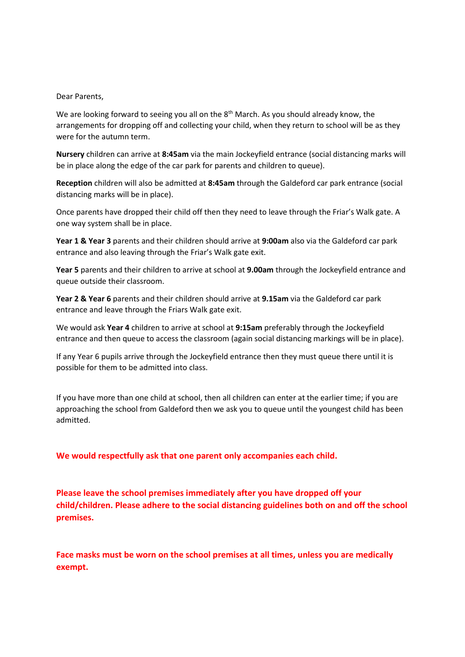#### Dear Parents,

We are looking forward to seeing you all on the  $8<sup>th</sup>$  March. As you should already know, the arrangements for dropping off and collecting your child, when they return to school will be as they were for the autumn term.

**Nursery** children can arrive at **8:45am** via the main Jockeyfield entrance (social distancing marks will be in place along the edge of the car park for parents and children to queue).

**Reception** children will also be admitted at **8:45am** through the Galdeford car park entrance (social distancing marks will be in place).

Once parents have dropped their child off then they need to leave through the Friar's Walk gate. A one way system shall be in place.

**Year 1 & Year 3** parents and their children should arrive at **9:00am** also via the Galdeford car park entrance and also leaving through the Friar's Walk gate exit.

**Year 5** parents and their children to arrive at school at **9.00am** through the Jockeyfield entrance and queue outside their classroom.

**Year 2 & Year 6** parents and their children should arrive at **9.15am** via the Galdeford car park entrance and leave through the Friars Walk gate exit.

We would ask **Year 4** children to arrive at school at **9:15am** preferably through the Jockeyfield entrance and then queue to access the classroom (again social distancing markings will be in place).

If any Year 6 pupils arrive through the Jockeyfield entrance then they must queue there until it is possible for them to be admitted into class.

If you have more than one child at school, then all children can enter at the earlier time; if you are approaching the school from Galdeford then we ask you to queue until the youngest child has been admitted.

**We would respectfully ask that one parent only accompanies each child.**

**Please leave the school premises immediately after you have dropped off your child/children. Please adhere to the social distancing guidelines both on and off the school premises.**

**Face masks must be worn on the school premises at all times, unless you are medically exempt.**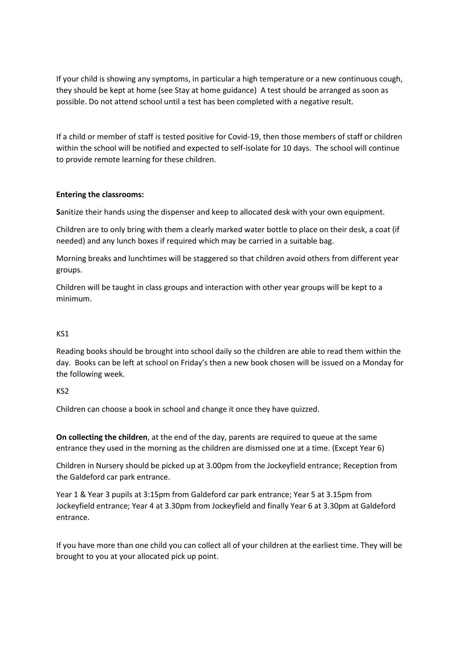If your child is showing any symptoms, in particular a high temperature or a new continuous cough, they should be kept at home (see Stay at home guidance) A test should be arranged as soon as possible. Do not attend school until a test has been completed with a negative result.

If a child or member of staff is tested positive for Covid-19, then those members of staff or children within the school will be notified and expected to self-isolate for 10 days. The school will continue to provide remote learning for these children.

### **Entering the classrooms:**

**S**anitize their hands using the dispenser and keep to allocated desk with your own equipment.

Children are to only bring with them a clearly marked water bottle to place on their desk, a coat (if needed) and any lunch boxes if required which may be carried in a suitable bag.

Morning breaks and lunchtimes will be staggered so that children avoid others from different year groups.

Children will be taught in class groups and interaction with other year groups will be kept to a minimum.

# KS1

Reading books should be brought into school daily so the children are able to read them within the day. Books can be left at school on Friday's then a new book chosen will be issued on a Monday for the following week.

### KS2

Children can choose a book in school and change it once they have quizzed.

**On collecting the children**, at the end of the day, parents are required to queue at the same entrance they used in the morning as the children are dismissed one at a time. (Except Year 6)

Children in Nursery should be picked up at 3.00pm from the Jockeyfield entrance; Reception from the Galdeford car park entrance.

Year 1 & Year 3 pupils at 3:15pm from Galdeford car park entrance; Year 5 at 3.15pm from Jockeyfield entrance; Year 4 at 3.30pm from Jockeyfield and finally Year 6 at 3.30pm at Galdeford entrance.

If you have more than one child you can collect all of your children at the earliest time. They will be brought to you at your allocated pick up point.